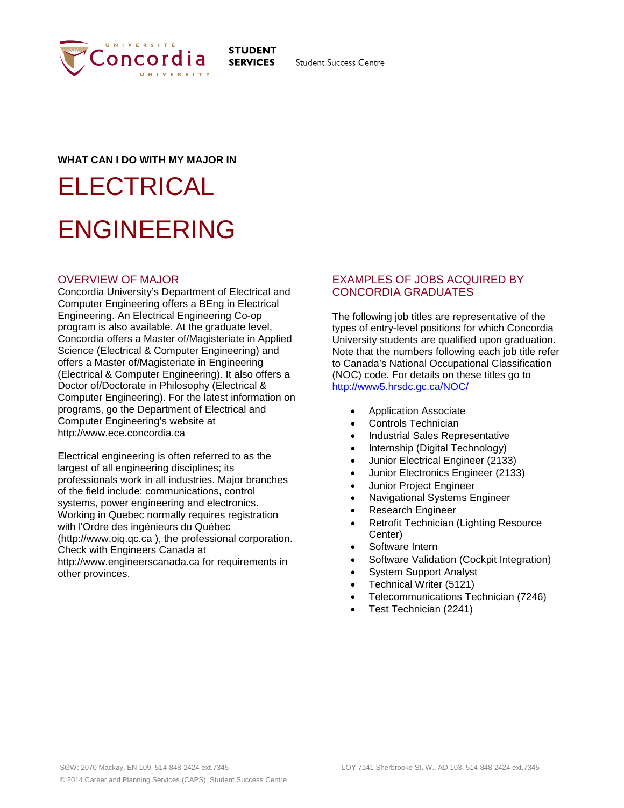

**STUDENT SERVICES** 

**Student Success Centre** 

# **WHAT CAN I DO WITH MY MAJOR IN**

# **ELECTRICAL** ENGINEERING

# OVERVIEW OF MAJOR

Concordia University's Department of Electrical and Computer Engineering offers a BEng in Electrical Engineering. An Electrical Engineering Co-op program is also available. At the graduate level, Concordia offers a Master of/Magisteriate in Applied Science (Electrical & Computer Engineering) and offers a Master of/Magisteriate in Engineering (Electrical & Computer Engineering). It also offers a Doctor of/Doctorate in Philosophy (Electrical & Computer Engineering). For the latest information on programs, go the Department of Electrical and Computer Engineering's website at http://www.ece.concordia.ca

Electrical engineering is often referred to as the largest of all engineering disciplines; its professionals work in all industries. Major branches of the field include: communications, control systems, power engineering and electronics. Working in Quebec normally requires registration with l'Ordre des ingénieurs du Québec (http://www.oiq.qc.ca ), the professional corporation. Check with Engineers Canada at http://www.engineerscanada.ca for requirements in other provinces.

# EXAMPLES OF JOBS ACQUIRED BY CONCORDIA GRADUATES

The following job titles are representative of the types of entry-level positions for which Concordia University students are qualified upon graduation. Note that the numbers following each job title refer to Canada's National Occupational Classification (NOC) code. For details on these titles go to http://www5.hrsdc.gc.ca/NOC/

- Application Associate
- Controls Technician
- Industrial Sales Representative
- Internship (Digital Technology)
- Junior Electrical Engineer (2133)
- Junior Electronics Engineer (2133)
- Junior Project Engineer
- Navigational Systems Engineer
- Research Engineer
- Retrofit Technician (Lighting Resource Center)
- Software Intern
- Software Validation (Cockpit Integration)
- System Support Analyst
- Technical Writer (5121)
- Telecommunications Technician (7246)
- Test Technician (2241)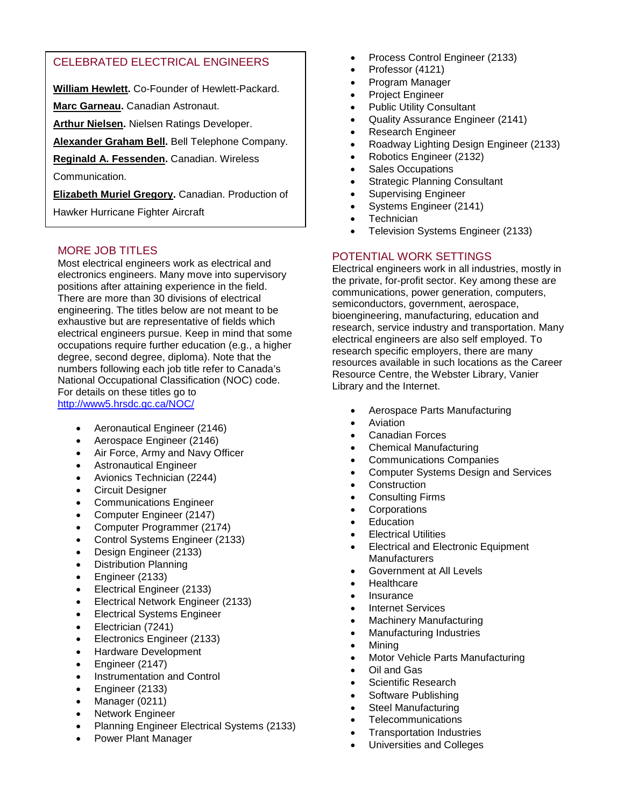# CELEBRATED ELECTRICAL ENGINEERS

**William Hewlett.** Co-Founder of Hewlett-Packard.

**Marc Garneau.** Canadian Astronaut.

**Arthur Nielsen.** Nielsen Ratings Developer.

**Alexander Graham Bell.** Bell Telephone Company.

**Reginald A. Fessenden.** Canadian. Wireless

Communication.

**Elizabeth Muriel Gregory.** Canadian. Production of

Hawker Hurricane Fighter Aircraft

# MORE JOB TITLES

Most electrical engineers work as electrical and electronics engineers. Many move into supervisory positions after attaining experience in the field. There are more than 30 divisions of electrical engineering. The titles below are not meant to be exhaustive but are representative of fields which electrical engineers pursue. Keep in mind that some occupations require further education (e.g., a higher degree, second degree, diploma). Note that the numbers following each job title refer to Canada's National Occupational Classification (NOC) code. For details on these titles go to <http://www5.hrsdc.gc.ca/NOC/>

- Aeronautical Engineer (2146)
- Aerospace Engineer (2146)
- Air Force, Army and Navy Officer
- Astronautical Engineer
- Avionics Technician (2244)
- Circuit Designer
- Communications Engineer
- Computer Engineer (2147)
- Computer Programmer (2174)
- Control Systems Engineer (2133)
- Design Engineer (2133)
- Distribution Planning
- Engineer (2133)
- Electrical Engineer (2133)
- Electrical Network Engineer (2133)
- Electrical Systems Engineer
- Electrician (7241)
- Electronics Engineer (2133)
- Hardware Development
- Engineer (2147)
- Instrumentation and Control
- Engineer (2133)
- Manager (0211)
- Network Engineer
- Planning Engineer Electrical Systems (2133)
- Power Plant Manager
- Process Control Engineer (2133)
- Professor (4121)
- Program Manager
- Project Engineer
- Public Utility Consultant
- Quality Assurance Engineer (2141)
- Research Engineer
- Roadway Lighting Design Engineer (2133)
- Robotics Engineer (2132)
- Sales Occupations
- **Strategic Planning Consultant**
- Supervising Engineer
- Systems Engineer (2141)
- **Technician**
- Television Systems Engineer (2133)

# POTENTIAL WORK SETTINGS

Electrical engineers work in all industries, mostly in the private, for-profit sector. Key among these are communications, power generation, computers, semiconductors, government, aerospace, bioengineering, manufacturing, education and research, service industry and transportation. Many electrical engineers are also self employed. To research specific employers, there are many resources available in such locations as the Career Resource Centre, the Webster Library, Vanier Library and the Internet.

- Aerospace Parts Manufacturing
- **Aviation**
- Canadian Forces
- Chemical Manufacturing
- Communications Companies
- Computer Systems Design and Services
- **Construction**
- Consulting Firms
- **Corporations**
- **Education**
- **Electrical Utilities**
- Electrical and Electronic Equipment **Manufacturers**
- Government at All Levels
- Healthcare
- Insurance
- Internet Services
- Machinery Manufacturing
- Manufacturing Industries
- Mining
- Motor Vehicle Parts Manufacturing
- Oil and Gas
- Scientific Research
- Software Publishing
- Steel Manufacturing
- **Telecommunications**
- Transportation Industries
- Universities and Colleges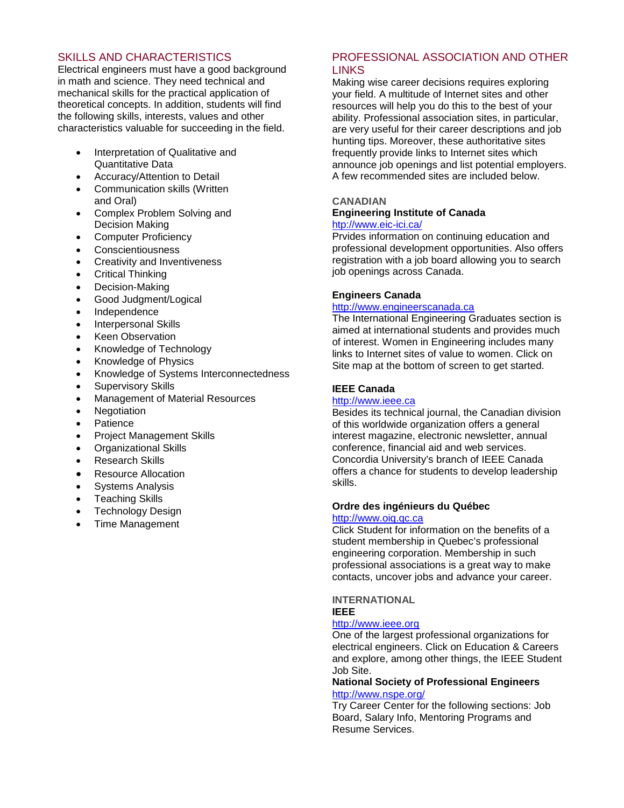# SKILLS AND CHARACTERISTICS

Electrical engineers must have a good background in math and science. They need technical and mechanical skills for the practical application of theoretical concepts. In addition, students will find the following skills, interests, values and other characteristics valuable for succeeding in the field.

- Interpretation of Qualitative and Quantitative Data
- Accuracy/Attention to Detail
- Communication skills (Written and Oral)
- Complex Problem Solving and Decision Making
- Computer Proficiency
- Conscientiousness
- Creativity and Inventiveness
- Critical Thinking
- Decision-Making
- Good Judgment/Logical
- Independence
- Interpersonal Skills
- **Keen Observation**
- Knowledge of Technology
- Knowledge of Physics
- Knowledge of Systems Interconnectedness
- Supervisory Skills
- Management of Material Resources
- **Negotiation**
- Patience
- Project Management Skills
- Organizational Skills
- **Research Skills**
- Resource Allocation
- Systems Analysis
- **Teaching Skills**
- Technology Design
- Time Management

# PROFESSIONAL ASSOCIATION AND OTHER LINKS

Making wise career decisions requires exploring your field. A multitude of Internet sites and other resources will help you do this to the best of your ability. Professional association sites, in particular, are very useful for their career descriptions and job hunting tips. Moreover, these authoritative sites frequently provide links to Internet sites which announce job openings and list potential employers. A few recommended sites are included below.

# **CANADIAN**

#### **Engineering Institute of Canada**  [htp://www.eic-ici.ca/](http://www.eic-ici.ca/)

Prvides information on continuing education and professional development opportunities. Also offers registration with a job board allowing you to search job openings across Canada.

# **Engineers Canada**

#### [http://www.engineerscanada.ca](http://www.engineerscanada.ca/)

The International Engineering Graduates section is aimed at international students and provides much of interest. Women in Engineering includes many links to Internet sites of value to women. Click on Site map at the bottom of screen to get started.

## **IEEE Canada**

#### [http://www.ieee.ca](http://www.ieee.ca/)

Besides its technical journal, the Canadian division of this worldwide organization offers a general interest magazine, electronic newsletter, annual conference, financial aid and web services. Concordia University's branch of IEEE Canada offers a chance for students to develop leadership skills.

## **Ordre des ingénieurs du Québec**

## [http://www.oiq.qc.ca](http://www.oiq.qc.ca/)

Click Student for information on the benefits of a student membership in Quebec's professional engineering corporation. Membership in such professional associations is a great way to make contacts, uncover jobs and advance your career.

**INTERNATIONAL IEEE** 

## [http://www.ieee.org](http://www.ieee.org/)

One of the largest professional organizations for electrical engineers. Click on Education & Careers and explore, among other things, the IEEE Student Job Site.

## **National Society of Professional Engineers**  <http://www.nspe.org/>

Try Career Center for the following sections: Job Board, Salary Info, Mentoring Programs and Resume Services.